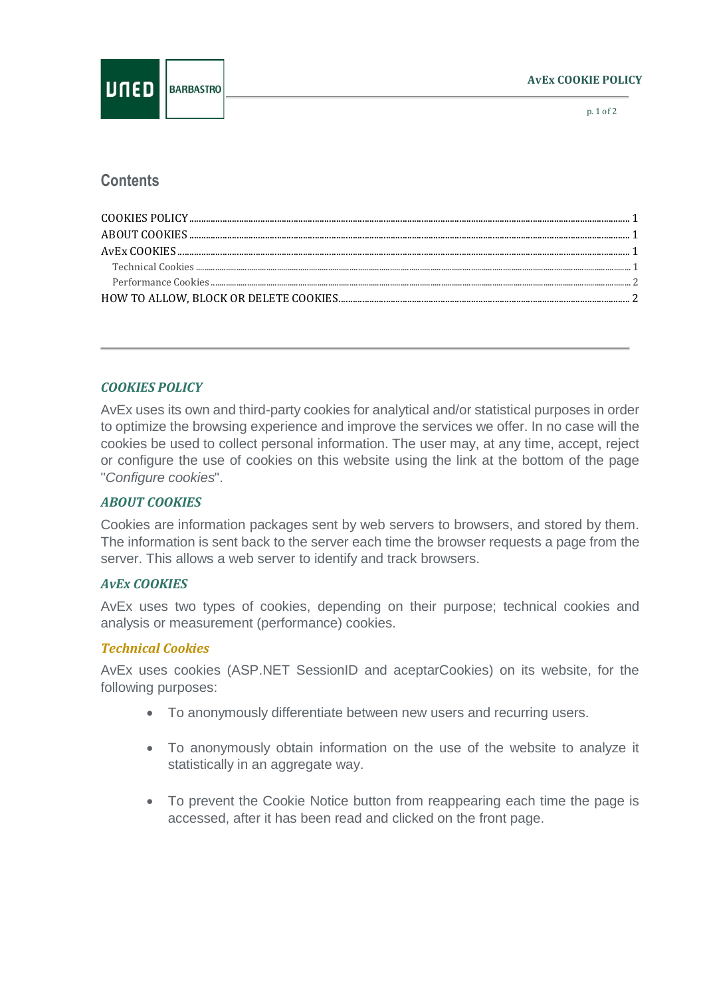p. 1 of 2

# **Contents**

## <span id="page-0-0"></span>*COOKIES POLICY*

AvEx uses its own and third-party cookies for analytical and/or statistical purposes in order to optimize the browsing experience and improve the services we offer. In no case will the cookies be used to collect personal information. The user may, at any time, accept, reject or configure the use of cookies on this website using the link at the bottom of the page "*Configure cookies*".

### <span id="page-0-1"></span>*ABOUT COOKIES*

Cookies are information packages sent by web servers to browsers, and stored by them. The information is sent back to the server each time the browser requests a page from the server. This allows a web server to identify and track browsers.

### <span id="page-0-2"></span>*AvEx COOKIES*

AvEx uses two types of cookies, depending on their purpose; technical cookies and analysis or measurement (performance) cookies.

### <span id="page-0-3"></span>*Technical Cookies*

AvEx uses cookies (ASP.NET SessionID and aceptarCookies) on its website, for the following purposes:

- To anonymously differentiate between new users and recurring users.
- To anonymously obtain information on the use of the website to analyze it statistically in an aggregate way.
- To prevent the Cookie Notice button from reappearing each time the page is accessed, after it has been read and clicked on the front page.